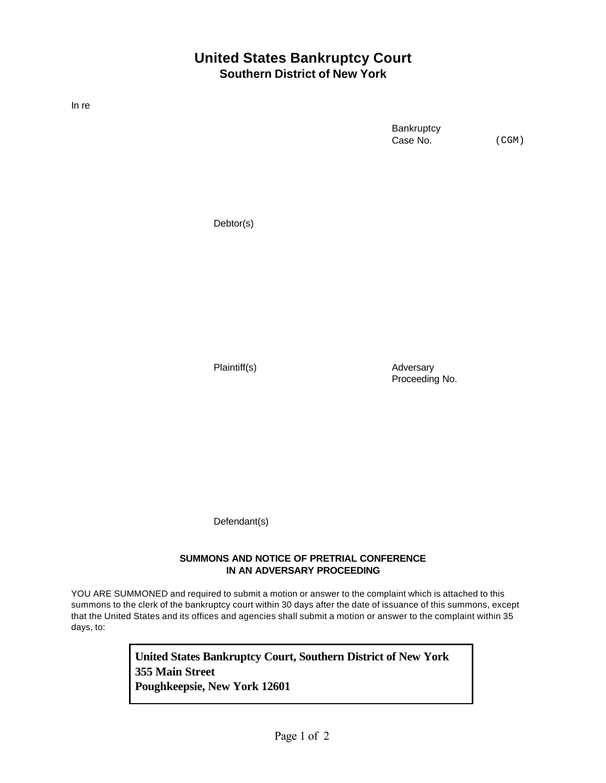## **United States Bankruptcy Court Southern District of New York**

In re

**Bankruptcy** Case No.

(CGM)

Debtor(s)

Plaintiff(s) and Adversary Proceeding No.

Defendant(s)

## **SUMMONS AND NOTICE OF PRETRIAL CONFERENCE IN AN ADVERSARY PROCEEDING**

YOU ARE SUMMONED and required to submit a motion or answer to the complaint which is attached to this summons to the clerk of the bankruptcy court within 30 days after the date of issuance of this summons, except that the United States and its offices and agencies shall submit a motion or answer to the complaint within 35 days, to:

> **United States Bankruptcy Court, Southern District of New York 355 Main Street Poughkeepsie, New York 12601**